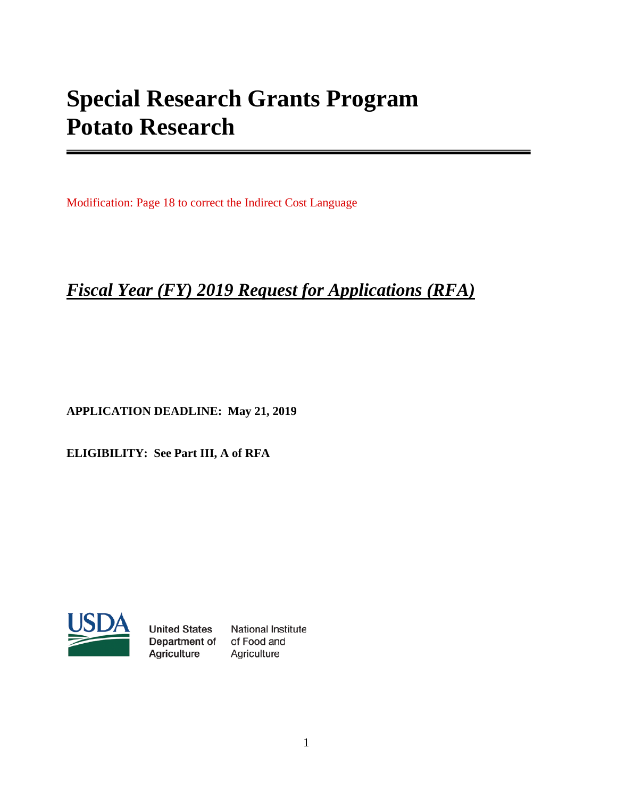# **Special Research Grants Program Potato Research**

Modification: Page 18 to correct the Indirect Cost Language

## *Fiscal Year (FY) 2019 Request for Applications (RFA)*

**APPLICATION DEADLINE: May 21, 2019** 

**ELIGIBILITY: See Part III, A of RFA**



**United States** Department of Agriculture

National Institute of Food and Agriculture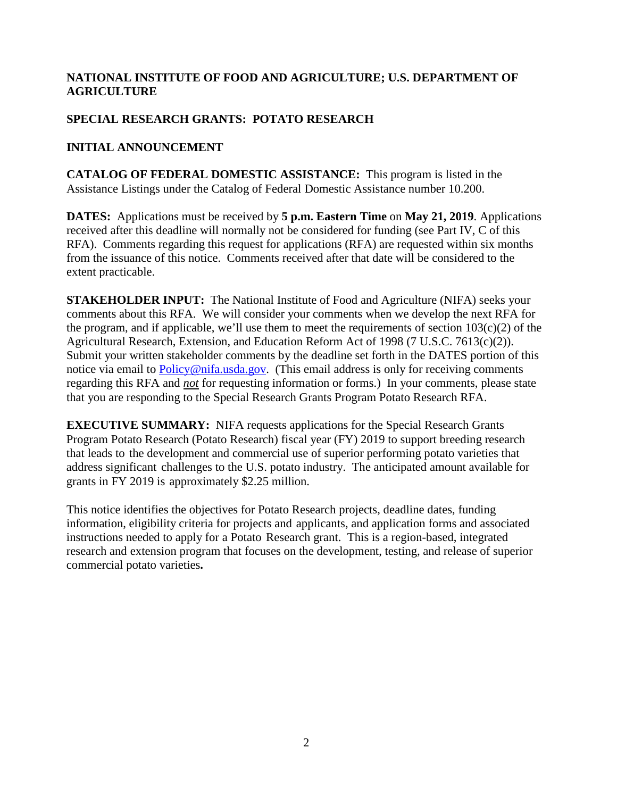## **NATIONAL INSTITUTE OF FOOD AND AGRICULTURE; U.S. DEPARTMENT OF AGRICULTURE**

## **SPECIAL RESEARCH GRANTS: POTATO RESEARCH**

## **INITIAL ANNOUNCEMENT**

**CATALOG OF FEDERAL DOMESTIC ASSISTANCE:** This program is listed in the Assistance Listings under the Catalog of Federal Domestic Assistance number 10.200.

**DATES:** Applications must be received by **5 p.m. Eastern Time** on **May 21, 2019**. Applications received after this deadline will normally not be considered for funding (see Part IV, C of this RFA). Comments regarding this request for applications (RFA) are requested within six months from the issuance of this notice. Comments received after that date will be considered to the extent practicable.

**STAKEHOLDER INPUT:** The National Institute of Food and Agriculture (NIFA) seeks your comments about this RFA. We will consider your comments when we develop the next RFA for the program, and if applicable, we'll use them to meet the requirements of section  $103(c)(2)$  of the Agricultural Research, Extension, and Education Reform Act of 1998 (7 U.S.C. 7613(c)(2)). Submit your written stakeholder comments by the deadline set forth in the DATES portion of this notice via email to [Policy@nifa.usda.gov.](mailto:Policy@nifa.usda.gov) (This email address is only for receiving comments regarding this RFA and *not* for requesting information or forms.) In your comments, please state that you are responding to the Special Research Grants Program Potato Research RFA.

**EXECUTIVE SUMMARY:** NIFA requests applications for the Special Research Grants Program Potato Research (Potato Research) fiscal year (FY) 2019 to support breeding research that leads to the development and commercial use of superior performing potato varieties that address significant challenges to the U.S. potato industry. The anticipated amount available for grants in FY 2019 is approximately \$2.25 million.

This notice identifies the objectives for Potato Research projects, deadline dates, funding information, eligibility criteria for projects and applicants, and application forms and associated instructions needed to apply for a Potato Research grant. This is a region-based, integrated research and extension program that focuses on the development, testing, and release of superior commercial potato varieties**.**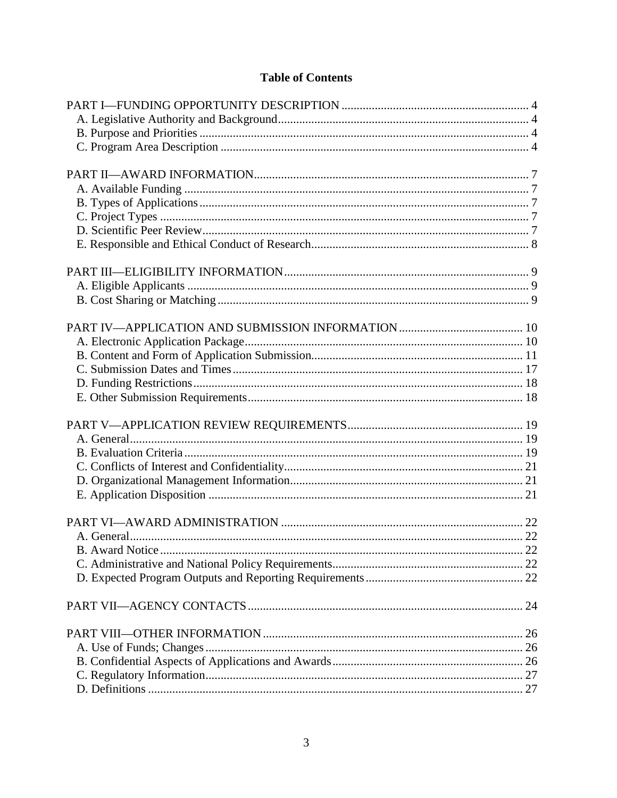## **Table of Contents**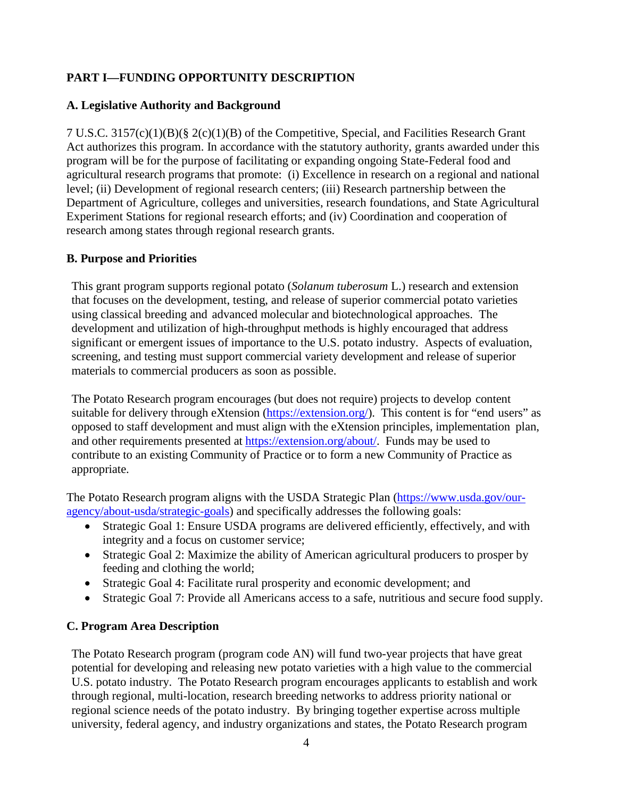## <span id="page-3-0"></span>**PART I—FUNDING OPPORTUNITY DESCRIPTION**

## <span id="page-3-1"></span>**A. Legislative Authority and Background**

7 U.S.C. 3157(c)(1)(B)(§ 2(c)(1)(B) of the Competitive, Special, and Facilities Research Grant Act authorizes this program. In accordance with the statutory authority, grants awarded under this program will be for the purpose of facilitating or expanding ongoing State-Federal food and agricultural research programs that promote: (i) Excellence in research on a regional and national level; (ii) Development of regional research centers; (iii) Research partnership between the Department of Agriculture, colleges and universities, research foundations, and State Agricultural Experiment Stations for regional research efforts; and (iv) Coordination and cooperation of research among states through regional research grants.

## <span id="page-3-2"></span>**B. Purpose and Priorities**

This grant program supports regional potato (*Solanum tuberosum* L.) research and extension that focuses on the development, testing, and release of superior commercial potato varieties using classical breeding and advanced molecular and biotechnological approaches. The development and utilization of high-throughput methods is highly encouraged that address significant or emergent issues of importance to the U.S. potato industry. Aspects of evaluation, screening, and testing must support commercial variety development and release of superior materials to commercial producers as soon as possible.

The Potato Research program encourages (but does not require) projects to develop content suitable for delivery through eXtension [\(https://extension.org/\)](https://extension.org/). This content is for "end users" as opposed to staff development and must align with the eXtension principles, implementation plan, and other requirements presented at [https://extension.org/about/.](https://extension.org/about/) Funds may be used to contribute to an existing Community of Practice or to form a new Community of Practice as appropriate.

The Potato Research program aligns with the USDA Strategic Plan [\(https://www.usda.gov/our](https://www.usda.gov/our-agency/about-usda/strategic-goals)[agency/about-usda/strategic-goals\)](https://www.usda.gov/our-agency/about-usda/strategic-goals) and specifically addresses the following goals:

- Strategic Goal 1: Ensure USDA programs are delivered efficiently, effectively, and with integrity and a focus on customer service;
- Strategic Goal 2: Maximize the ability of American agricultural producers to prosper by feeding and clothing the world;
- Strategic Goal 4: Facilitate rural prosperity and economic development; and
- Strategic Goal 7: Provide all Americans access to a safe, nutritious and secure food supply.

## <span id="page-3-3"></span>**C. Program Area Description**

The Potato Research program (program code AN) will fund two-year projects that have great potential for developing and releasing new potato varieties with a high value to the commercial U.S. potato industry. The Potato Research program encourages applicants to establish and work through regional, multi-location, research breeding networks to address priority national or regional science needs of the potato industry. By bringing together expertise across multiple university, federal agency, and industry organizations and states, the Potato Research program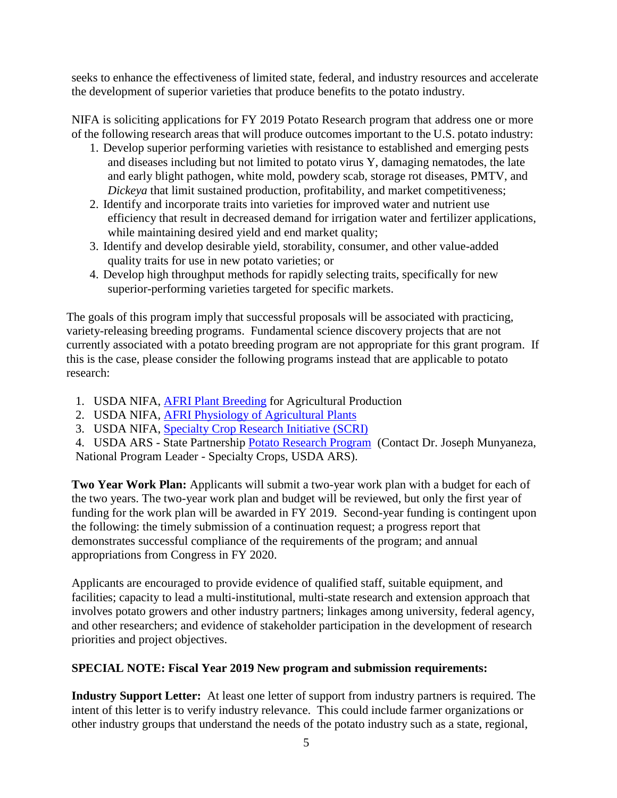seeks to enhance the effectiveness of limited state, federal, and industry resources and accelerate the development of superior varieties that produce benefits to the potato industry.

NIFA is soliciting applications for FY 2019 Potato Research program that address one or more of the following research areas that will produce outcomes important to the U.S. potato industry:

- 1. Develop superior performing varieties with resistance to established and emerging pests and diseases including but not limited to potato virus Y, damaging nematodes, the late and early blight pathogen, white mold, powdery scab, storage rot diseases, PMTV, and *Dickeya* that limit sustained production, profitability, and market competitiveness;
- 2. Identify and incorporate traits into varieties for improved water and nutrient use efficiency that result in decreased demand for irrigation water and fertilizer applications, while maintaining desired yield and end market quality;
- 3. Identify and develop desirable yield, storability, consumer, and other value-added quality traits for use in new potato varieties; or
- 4. Develop high throughput methods for rapidly selecting traits, specifically for new superior-performing varieties targeted for specific markets.

The goals of this program imply that successful proposals will be associated with practicing, variety-releasing breeding programs. Fundamental science discovery projects that are not currently associated with a potato breeding program are not appropriate for this grant program. If this is the case, please consider the following programs instead that are applicable to potato research:

- 1. USDA NIFA, [AFRI Plant Breeding](https://nifa.usda.gov/program/afri-foundational-program) for Agricultural Production
- 2. USDA NIFA, [AFRI Physiology of Agricultural Plants](https://nifa.usda.gov/program/afri-foundational-program)
- 3. USDA NIFA, [Specialty Crop Research Initiative \(SCRI\)](https://nifa.usda.gov/program/specialty-crop-research-initiative-scri)

4. USDA [ARS - State Partnership Potato Research Program](https://www.ars.usda.gov/people-locations/person?person-id=34267) (Contact Dr. Joseph Munyaneza, National Program Leader - Specialty Crops, USDA ARS).

**Two Year Work Plan:** Applicants will submit a two-year work plan with a budget for each of the two years. The two-year work plan and budget will be reviewed, but only the first year of funding for the work plan will be awarded in FY 2019. Second-year funding is contingent upon the following: the timely submission of a continuation request; a progress report that demonstrates successful compliance of the requirements of the program; and annual appropriations from Congress in FY 2020.

Applicants are encouraged to provide evidence of qualified staff, suitable equipment, and facilities; capacity to lead a multi-institutional, multi-state research and extension approach that involves potato growers and other industry partners; linkages among university, federal agency, and other researchers; and evidence of stakeholder participation in the development of research priorities and project objectives.

## **SPECIAL NOTE: Fiscal Year 2019 New program and submission requirements:**

**Industry Support Letter:** At least one letter of support from industry partners is required. The intent of this letter is to verify industry relevance. This could include farmer organizations or other industry groups that understand the needs of the potato industry such as a state, regional,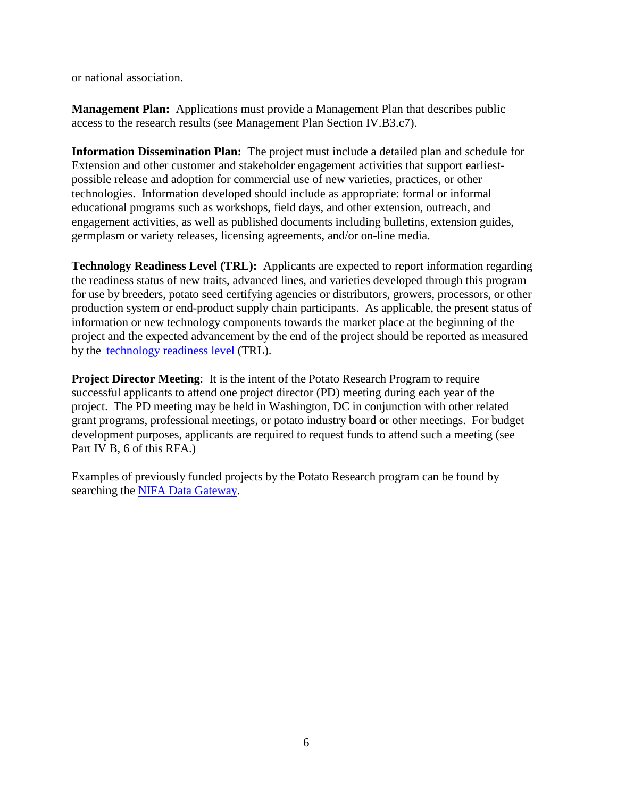or national association.

**Management Plan:** Applications must provide a Management Plan that describes public access to the research results (see Management Plan Section IV.B3.c7).

**Information Dissemination Plan:** The project must include a detailed plan and schedule for Extension and other customer and stakeholder engagement activities that support earliestpossible release and adoption for commercial use of new varieties, practices, or other technologies. Information developed should include as appropriate: formal or informal educational programs such as workshops, field days, and other extension, outreach, and engagement activities, as well as published documents including bulletins, extension guides, germplasm or variety releases, licensing agreements, and/or on-line media.

**Technology Readiness Level (TRL):** Applicants are expected to report information regarding the readiness status of new traits, advanced lines, and varieties developed through this program for use by breeders, potato seed certifying agencies or distributors, growers, processors, or other production system or end-product supply chain participants. As applicable, the present status of information or new technology components towards the market place at the beginning of the project and the expected advancement by the end of the project should be reported as measured by the [technology readiness level](https://nifa.usda.gov/program/agronomic-forage-crops-program) (TRL).

**Project Director Meeting:** It is the intent of the Potato Research Program to require successful applicants to attend one project director (PD) meeting during each year of the project. The PD meeting may be held in Washington, DC in conjunction with other related grant programs, professional meetings, or potato industry board or other meetings. For budget development purposes, applicants are required to request funds to attend such a meeting (see Part IV B, 6 of this RFA.)

<span id="page-5-0"></span>Examples of previously funded projects by the Potato Research program can be found by searching the [NIFA Data Gateway.](https://portal.nifa.usda.gov/enterprise-search/?client=reeis_facet&filter=0&from_site=NIFA&getfields=Progress+Year.Knowledge+Area.Science.Subject.Type.Keywords.FDC.State.Grantee+Type.Project+Type.Sponsoring+Agency.Award+Amount+Range.Grant+Award+Year&output=xml_no_dtd&proxystylesheet=reeis_facet&q=&site=CRIS_FACETS)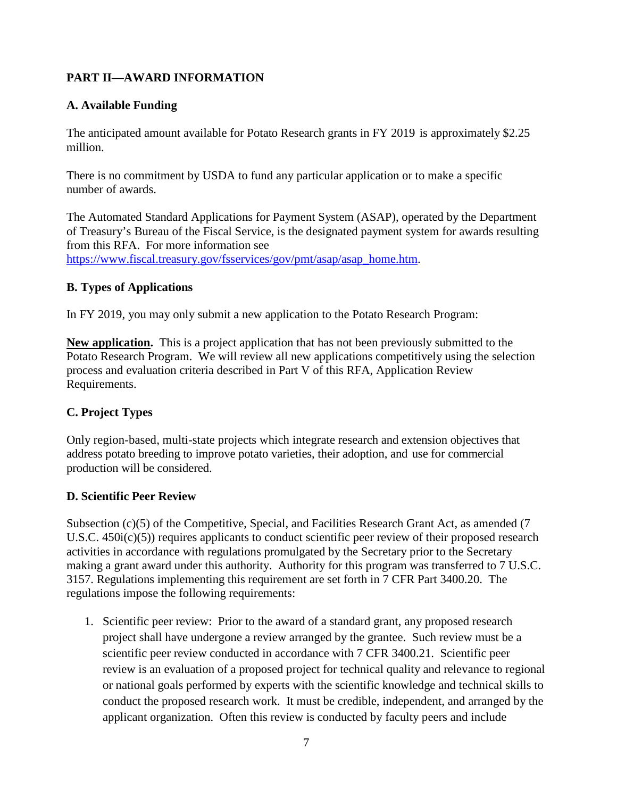## **PART II—AWARD INFORMATION**

## <span id="page-6-0"></span>**A. Available Funding**

The anticipated amount available for Potato Research grants in FY 2019 is approximately \$2.25 million.

There is no commitment by USDA to fund any particular application or to make a specific number of awards.

The Automated Standard Applications for Payment System (ASAP), operated by the Department of Treasury's Bureau of the Fiscal Service, is the designated payment system for awards resulting from this RFA. For more information see

[https://www.fiscal.treasury.gov/fsservices/gov/pmt/asap/asap\\_home.htm.](https://www.fiscal.treasury.gov/fsservices/gov/pmt/asap/asap_home.htm)

## <span id="page-6-1"></span>**B. Types of Applications**

In FY 2019, you may only submit a new application to the Potato Research Program:

**New application.** This is a project application that has not been previously submitted to the Potato Research Program. We will review all new applications competitively using the selection process and evaluation criteria described in Part V of this RFA, Application Review Requirements.

## <span id="page-6-2"></span>**C. Project Types**

Only region-based, multi-state projects which integrate research and extension objectives that address potato breeding to improve potato varieties, their adoption, and use for commercial production will be considered.

## <span id="page-6-3"></span>**D. Scientific Peer Review**

Subsection (c)(5) of the Competitive, Special, and Facilities Research Grant Act, as amended (7 U.S.C.  $450i(c)(5)$  requires applicants to conduct scientific peer review of their proposed research activities in accordance with regulations promulgated by the Secretary prior to the Secretary making a grant award under this authority. Authority for this program was transferred to 7 U.S.C. 3157. Regulations implementing this requirement are set forth in 7 CFR Part 3400.20. The regulations impose the following requirements:

1. Scientific peer review: Prior to the award of a standard grant, any proposed research project shall have undergone a review arranged by the grantee. Such review must be a scientific peer review conducted in accordance with 7 CFR 3400.21. Scientific peer review is an evaluation of a proposed project for technical quality and relevance to regional or national goals performed by experts with the scientific knowledge and technical skills to conduct the proposed research work. It must be credible, independent, and arranged by the applicant organization. Often this review is conducted by faculty peers and include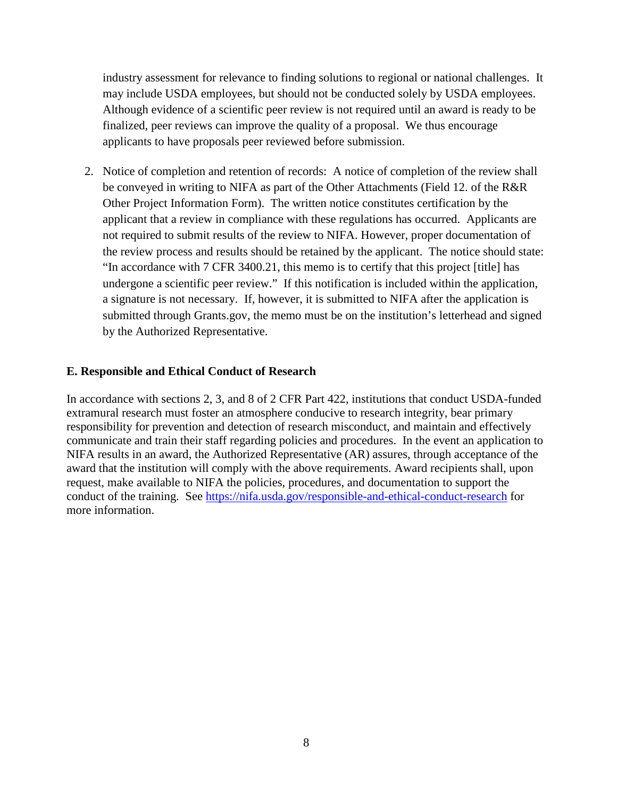industry assessment for relevance to finding solutions to regional or national challenges. It may include USDA employees, but should not be conducted solely by USDA employees. Although evidence of a scientific peer review is not required until an award is ready to be finalized, peer reviews can improve the quality of a proposal. We thus encourage applicants to have proposals peer reviewed before submission.

2. Notice of completion and retention of records: A notice of completion of the review shall be conveyed in writing to NIFA as part of the Other Attachments (Field 12. of the R&R Other Project Information Form). The written notice constitutes certification by the applicant that a review in compliance with these regulations has occurred. Applicants are not required to submit results of the review to NIFA. However, proper documentation of the review process and results should be retained by the applicant. The notice should state: "In accordance with 7 CFR 3400.21, this memo is to certify that this project [title] has undergone a scientific peer review." If this notification is included within the application, a signature is not necessary. If, however, it is submitted to NIFA after the application is submitted through Grants.gov, the memo must be on the institution's letterhead and signed by the Authorized Representative.

#### <span id="page-7-0"></span>**E. Responsible and Ethical Conduct of Research**

In accordance with sections 2, 3, and 8 of 2 CFR Part 422, institutions that conduct USDA-funded extramural research must foster an atmosphere conducive to research integrity, bear primary responsibility for prevention and detection of research misconduct, and maintain and effectively communicate and train their staff regarding policies and procedures. In the event an application to NIFA results in an award, the Authorized Representative (AR) assures, through acceptance of the award that the institution will comply with the above requirements. Award recipients shall, upon request, make available to NIFA the policies, procedures, and documentation to support the conduct of the training. See<https://nifa.usda.gov/responsible-and-ethical-conduct-research> for more information.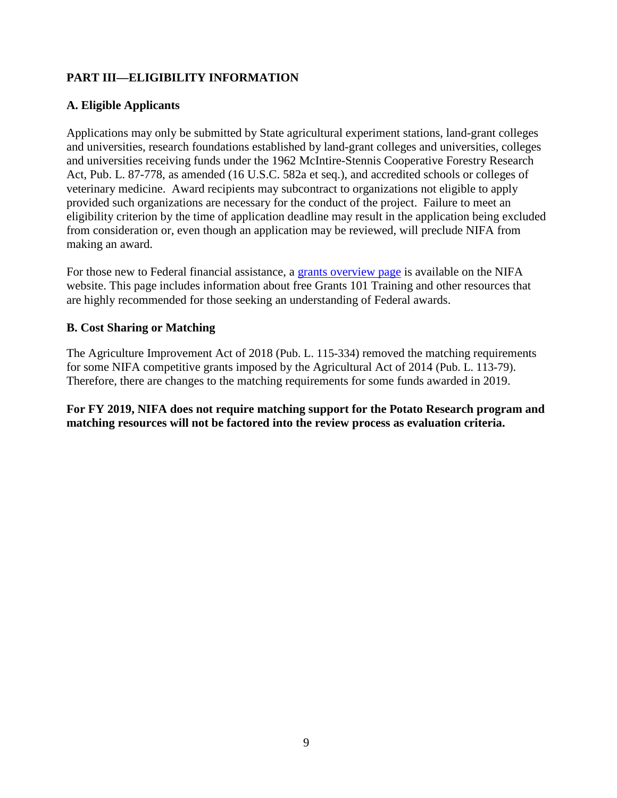## <span id="page-8-0"></span>**PART III—ELIGIBILITY INFORMATION**

## <span id="page-8-1"></span>**A. Eligible Applicants**

Applications may only be submitted by State agricultural experiment stations, land-grant colleges and universities, research foundations established by land-grant colleges and universities, colleges and universities receiving funds under the 1962 McIntire-Stennis Cooperative Forestry Research Act, Pub. L. 87-778, as amended (16 U.S.C. 582a et seq.), and accredited schools or colleges of veterinary medicine. Award recipients may subcontract to organizations not eligible to apply provided such organizations are necessary for the conduct of the project. Failure to meet an eligibility criterion by the time of application deadline may result in the application being excluded from consideration or, even though an application may be reviewed, will preclude NIFA from making an award.

For those new to Federal financial assistance, a [grants overview page](https://nifa.usda.gov/resource/grants-overview) is available on the NIFA website. This page includes information about free Grants 101 Training and other resources that are highly recommended for those seeking an understanding of Federal awards.

## <span id="page-8-2"></span>**B. Cost Sharing or Matching**

The Agriculture Improvement Act of 2018 (Pub. L. 115-334) removed the matching requirements for some NIFA competitive grants imposed by the Agricultural Act of 2014 (Pub. L. 113-79). Therefore, there are changes to the matching requirements for some funds awarded in 2019.

**For FY 2019, NIFA does not require matching support for the Potato Research program and matching resources will not be factored into the review process as evaluation criteria.**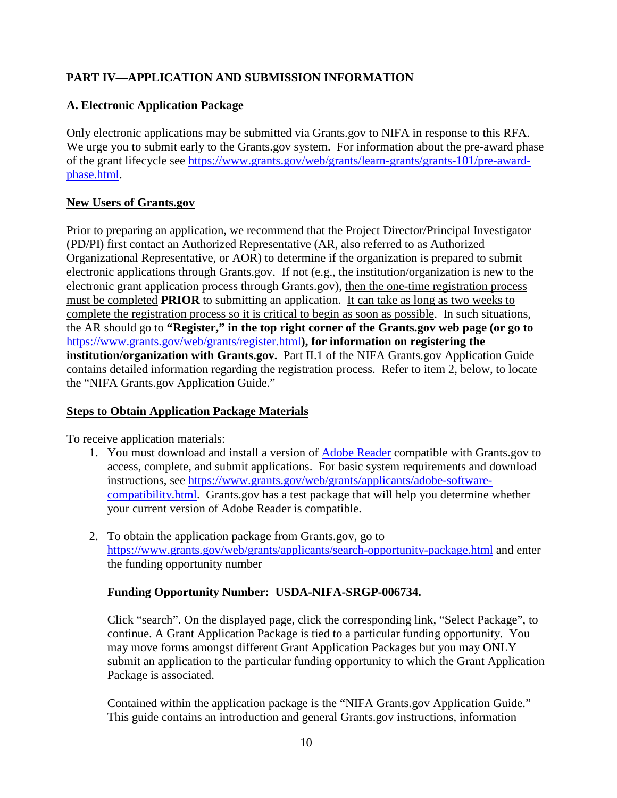## <span id="page-9-0"></span>**PART IV—APPLICATION AND SUBMISSION INFORMATION**

## <span id="page-9-1"></span>**A. Electronic Application Package**

Only electronic applications may be submitted via Grants.gov to NIFA in response to this RFA. We urge you to submit early to the Grants.gov system. For information about the pre-award phase of the grant lifecycle see [https://www.grants.gov/web/grants/learn-grants/grants-101/pre-award](https://www.grants.gov/web/grants/learn-grants/grants-101/pre-award-phase.html)[phase.html.](https://www.grants.gov/web/grants/learn-grants/grants-101/pre-award-phase.html)

## **New Users of Grants.gov**

Prior to preparing an application, we recommend that the Project Director/Principal Investigator (PD/PI) first contact an Authorized Representative (AR, also referred to as Authorized Organizational Representative, or AOR) to determine if the organization is prepared to submit electronic applications through Grants.gov. If not (e.g., the institution/organization is new to the electronic grant application process through Grants.gov), then the one-time registration process must be completed **PRIOR** to submitting an application. It can take as long as two weeks to complete the registration process so it is critical to begin as soon as possible. In such situations, the AR should go to **"Register," in the top right corner of the Grants.gov web page (or go to**  <https://www.grants.gov/web/grants/register.html>**), for information on registering the institution/organization with Grants.gov.** Part II.1 of the NIFA Grants.gov Application Guide contains detailed information regarding the registration process. Refer to item 2, below, to locate the "NIFA Grants.gov Application Guide."

## **Steps to Obtain Application Package Materials**

To receive application materials:

- 1. You must download and install a version of [Adobe Reader](https://get.adobe.com/reader/) compatible with Grants.gov to access, complete, and submit applications. For basic system requirements and download instructions, see [https://www.grants.gov/web/grants/applicants/adobe-software](https://www.grants.gov/web/grants/applicants/adobe-software-compatibility.html)[compatibility.html.](https://www.grants.gov/web/grants/applicants/adobe-software-compatibility.html) Grants.gov has a test package that will help you determine whether your current version of Adobe Reader is compatible.
- 2. To obtain the application package from Grants.gov, go to <https://www.grants.gov/web/grants/applicants/search-opportunity-package.html>and enter the funding opportunity number

## **Funding Opportunity Number: USDA-NIFA-SRGP-006734.**

Click "search". On the displayed page, click the corresponding link, "Select Package", to continue. A Grant Application Package is tied to a particular funding opportunity. You may move forms amongst different Grant Application Packages but you may ONLY submit an application to the particular funding opportunity to which the Grant Application Package is associated.

Contained within the application package is the "NIFA Grants.gov Application Guide." This guide contains an introduction and general Grants.gov instructions, information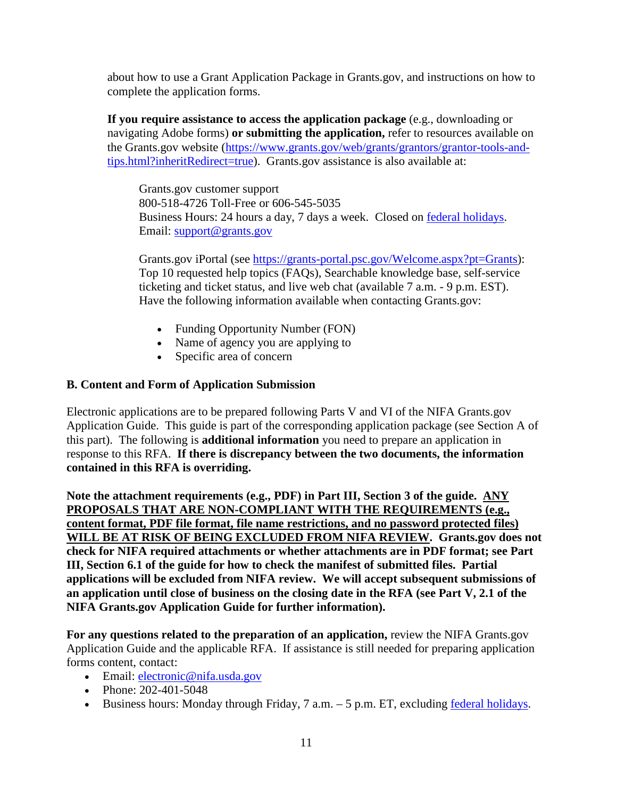about how to use a Grant Application Package in Grants.gov, and instructions on how to complete the application forms.

**If you require assistance to access the application package** (e.g., downloading or navigating Adobe forms) **or submitting the application,** refer to resources available on the Grants.gov website [\(https://www.grants.gov/web/grants/grantors/grantor-tools-and](https://www.grants.gov/web/grants/grantors/grantor-tools-and-tips.html?inheritRedirect=true)[tips.html?inheritRedirect=true\)](https://www.grants.gov/web/grants/grantors/grantor-tools-and-tips.html?inheritRedirect=true). Grants.gov assistance is also available at:

Grants.gov customer support 800-518-4726 Toll-Free or 606-545-5035 Business Hours: 24 hours a day, 7 days a week. Closed on [federal holidays.](http://www.opm.gov/policy-data-oversight/snow-dismissal-procedures/federal-holidays/) Email: [support@grants.gov](mailto:support@grants.gov)

Grants.gov iPortal (see [https://grants-portal.psc.gov/Welcome.aspx?pt=Grants\)](https://grants-portal.psc.gov/Welcome.aspx?pt=Grants): Top 10 requested help topics (FAQs), Searchable knowledge base, self-service ticketing and ticket status, and live web chat (available 7 a.m. - 9 p.m. EST). Have the following information available when contacting Grants.gov:

- Funding Opportunity Number (FON)
- Name of agency you are applying to
- Specific area of concern

## <span id="page-10-0"></span>**B. Content and Form of Application Submission**

Electronic applications are to be prepared following Parts V and VI of the NIFA Grants.gov Application Guide. This guide is part of the corresponding application package (see Section A of this part). The following is **additional information** you need to prepare an application in response to this RFA. **If there is discrepancy between the two documents, the information contained in this RFA is overriding.**

**Note the attachment requirements (e.g., PDF) in Part III, Section 3 of the guide. ANY PROPOSALS THAT ARE NON-COMPLIANT WITH THE REQUIREMENTS (e.g., content format, PDF file format, file name restrictions, and no password protected files) WILL BE AT RISK OF BEING EXCLUDED FROM NIFA REVIEW. Grants.gov does not check for NIFA required attachments or whether attachments are in PDF format; see Part III, Section 6.1 of the guide for how to check the manifest of submitted files. Partial applications will be excluded from NIFA review. We will accept subsequent submissions of an application until close of business on the closing date in the RFA (see Part V, 2.1 of the NIFA Grants.gov Application Guide for further information).** 

**For any questions related to the preparation of an application,** review the NIFA Grants.gov Application Guide and the applicable RFA. If assistance is still needed for preparing application forms content, contact:

- Email: [electronic@nifa.usda.gov](mailto:electronic@nifa.usda.gov)
- Phone:  $202 401 5048$
- Business hours: Monday through Friday,  $7$  a.m.  $-5$  p.m. ET, excluding [federal holidays.](https://www.opm.gov/policy-data-oversight/snow-dismissal-procedures/federal-holidays/)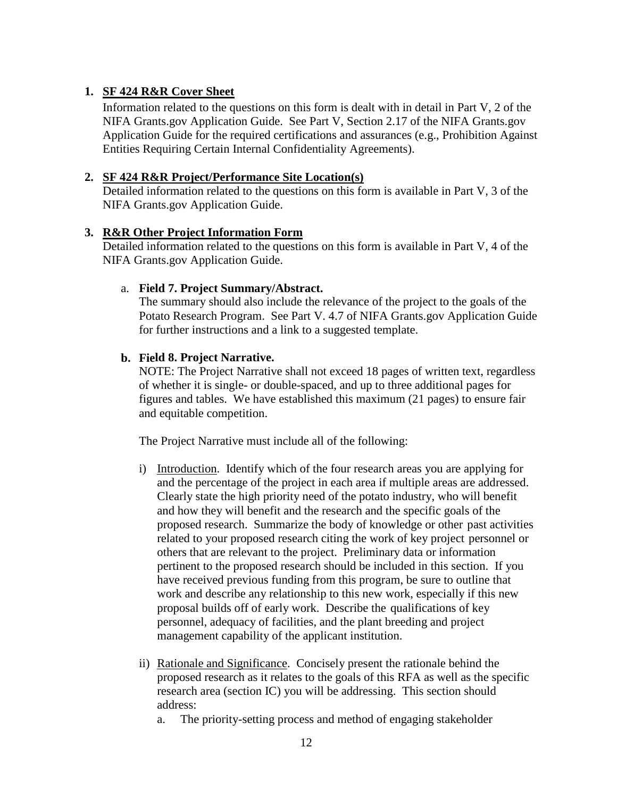#### **1. SF 424 R&R Cover Sheet**

Information related to the questions on this form is dealt with in detail in Part V, 2 of the NIFA Grants.gov Application Guide. See Part V, Section 2.17 of the NIFA Grants.gov Application Guide for the required certifications and assurances (e.g., Prohibition Against Entities Requiring Certain Internal Confidentiality Agreements).

#### **2. SF 424 R&R Project/Performance Site Location(s)**

Detailed information related to the questions on this form is available in Part V, 3 of the NIFA Grants.gov Application Guide.

#### **3. R&R Other Project Information Form**

Detailed information related to the questions on this form is available in Part V, 4 of the NIFA Grants.gov Application Guide.

#### a. **Field 7. Project Summary/Abstract.**

The summary should also include the relevance of the project to the goals of the Potato Research Program. See Part V. 4.7 of NIFA Grants.gov Application Guide for further instructions and a link to a suggested template.

#### **b. Field 8. Project Narrative.**

NOTE: The Project Narrative shall not exceed 18 pages of written text, regardless of whether it is single- or double-spaced, and up to three additional pages for figures and tables. We have established this maximum (21 pages) to ensure fair and equitable competition.

The Project Narrative must include all of the following:

- i) Introduction. Identify which of the four research areas you are applying for and the percentage of the project in each area if multiple areas are addressed. Clearly state the high priority need of the potato industry, who will benefit and how they will benefit and the research and the specific goals of the proposed research. Summarize the body of knowledge or other past activities related to your proposed research citing the work of key project personnel or others that are relevant to the project. Preliminary data or information pertinent to the proposed research should be included in this section. If you have received previous funding from this program, be sure to outline that work and describe any relationship to this new work, especially if this new proposal builds off of early work. Describe the qualifications of key personnel, adequacy of facilities, and the plant breeding and project management capability of the applicant institution.
- ii) Rationale and Significance. Concisely present the rationale behind the proposed research as it relates to the goals of this RFA as well as the specific research area (section IC) you will be addressing. This section should address:
	- a. The priority-setting process and method of engaging stakeholder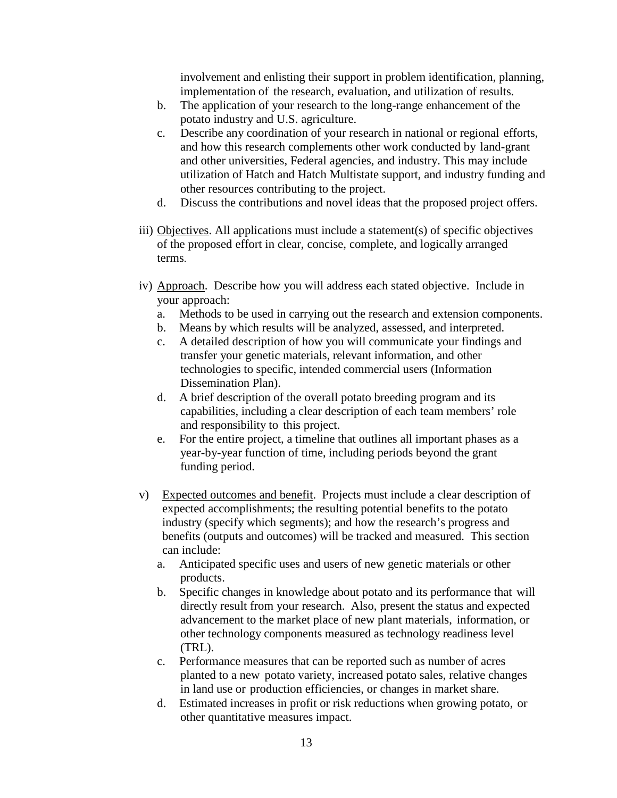involvement and enlisting their support in problem identification, planning, implementation of the research, evaluation, and utilization of results.

- b. The application of your research to the long-range enhancement of the potato industry and U.S. agriculture.
- c. Describe any coordination of your research in national or regional efforts, and how this research complements other work conducted by land-grant and other universities, Federal agencies, and industry. This may include utilization of Hatch and Hatch Multistate support, and industry funding and other resources contributing to the project.
- d. Discuss the contributions and novel ideas that the proposed project offers.
- iii) Objectives. All applications must include a statement(s) of specific objectives of the proposed effort in clear, concise, complete, and logically arranged terms.
- iv) Approach. Describe how you will address each stated objective. Include in your approach:
	- a. Methods to be used in carrying out the research and extension components.
	- b. Means by which results will be analyzed, assessed, and interpreted.
	- c. A detailed description of how you will communicate your findings and transfer your genetic materials, relevant information, and other technologies to specific, intended commercial users (Information Dissemination Plan).
	- d. A brief description of the overall potato breeding program and its capabilities, including a clear description of each team members' role and responsibility to this project.
	- e. For the entire project, a timeline that outlines all important phases as a year-by-year function of time, including periods beyond the grant funding period.
- v) Expected outcomes and benefit. Projects must include a clear description of expected accomplishments; the resulting potential benefits to the potato industry (specify which segments); and how the research's progress and benefits (outputs and outcomes) will be tracked and measured. This section can include:
	- a. Anticipated specific uses and users of new genetic materials or other products.
	- b. Specific changes in knowledge about potato and its performance that will directly result from your research. Also, present the status and expected advancement to the market place of new plant materials, information, or other technology components measured as technology readiness level (TRL).
	- c. Performance measures that can be reported such as number of acres planted to a new potato variety, increased potato sales, relative changes in land use or production efficiencies, or changes in market share.
	- d. Estimated increases in profit or risk reductions when growing potato, or other quantitative measures impact.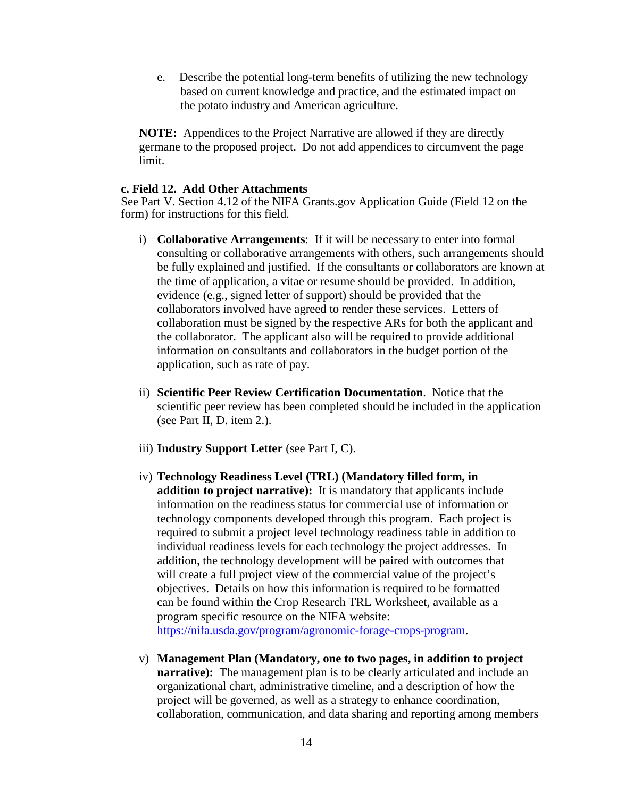e. Describe the potential long-term benefits of utilizing the new technology based on current knowledge and practice, and the estimated impact on the potato industry and American agriculture.

**NOTE:** Appendices to the Project Narrative are allowed if they are directly germane to the proposed project. Do not add appendices to circumvent the page limit.

#### **c. Field 12. Add Other Attachments**

See Part V. Section 4.12 of the NIFA Grants.gov Application Guide (Field 12 on the form) for instructions for this field.

- i) **Collaborative Arrangements**: If it will be necessary to enter into formal consulting or collaborative arrangements with others, such arrangements should be fully explained and justified. If the consultants or collaborators are known at the time of application, a vitae or resume should be provided. In addition, evidence (e.g., signed letter of support) should be provided that the collaborators involved have agreed to render these services. Letters of collaboration must be signed by the respective ARs for both the applicant and the collaborator. The applicant also will be required to provide additional information on consultants and collaborators in the budget portion of the application, such as rate of pay.
- ii) **Scientific Peer Review Certification Documentation**. Notice that the scientific peer review has been completed should be included in the application (see Part II, D. item 2.).
- iii) **Industry Support Letter** (see Part I, C).
- iv) **Technology Readiness Level (TRL) (Mandatory filled form, in addition to project narrative):** It is mandatory that applicants include information on the readiness status for commercial use of information or technology components developed through this program. Each project is required to submit a project level technology readiness table in addition to individual readiness levels for each technology the project addresses. In addition, the technology development will be paired with outcomes that will create a full project view of the commercial value of the project's objectives. Details on how this information is required to be formatted can be found within the Crop Research TRL Worksheet, available as a program specific resource on the NIFA website: [https://nifa.usda.gov/program/agronomic-forage-crops-program.](https://nifa.usda.gov/program/agronomic-forage-crops-program)

v) **Management Plan (Mandatory, one to two pages, in addition to project narrative):** The management plan is to be clearly articulated and include an organizational chart, administrative timeline, and a description of how the project will be governed, as well as a strategy to enhance coordination, collaboration, communication, and data sharing and reporting among members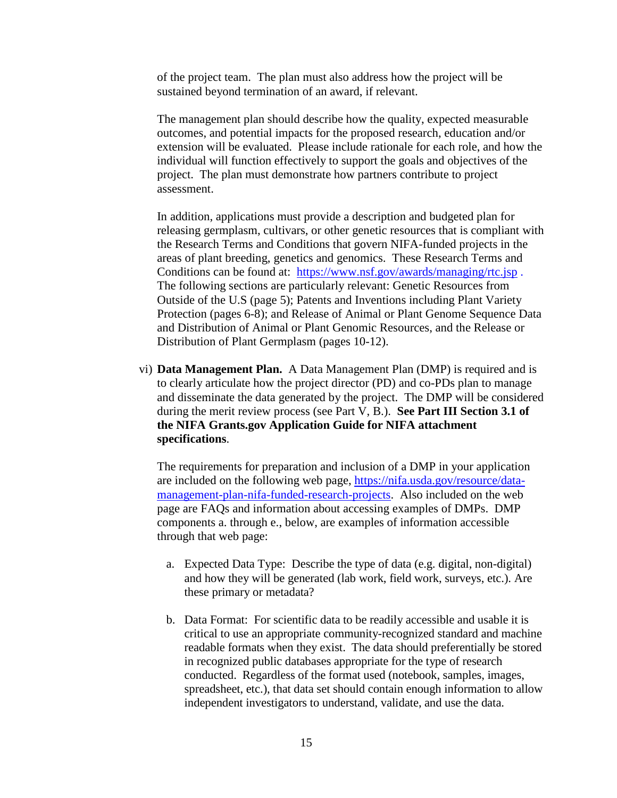of the project team. The plan must also address how the project will be sustained beyond termination of an award, if relevant.

The management plan should describe how the quality, expected measurable outcomes, and potential impacts for the proposed research, education and/or extension will be evaluated. Please include rationale for each role, and how the individual will function effectively to support the goals and objectives of the project. The plan must demonstrate how partners contribute to project assessment.

In addition, applications must provide a description and budgeted plan for releasing germplasm, cultivars, or other genetic resources that is compliant with the [Research Terms and Conditions](https://www.nsf.gov/pubs/policydocs/rtc/agencyspecifics/nifa_1014.pdf) that govern NIFA-funded projects in the areas of plant breeding, genetics and genomics. These Research Terms and Conditions can be found at: <https://www.nsf.gov/awards/managing/rtc.jsp>. The following sections are particularly relevant: Genetic Resources from Outside of the U.S (page 5); Patents and Inventions including Plant Variety Protection (pages 6-8); and Release of Animal or Plant Genome Sequence Data and Distribution of Animal or Plant Genomic Resources, and the Release or Distribution of Plant Germplasm (pages 10-12).

vi) **Data Management Plan.** A Data Management Plan (DMP) is required and is to clearly articulate how the project director (PD) and co-PDs plan to manage and disseminate the data generated by the project. The DMP will be considered during the merit review process (see Part V, B.). **See Part III Section 3.1 of the NIFA Grants.gov Application Guide for NIFA attachment specifications**.

The requirements for preparation and inclusion of a DMP in your application are included on the following web page, [https://nifa.usda.gov/resource/data](https://nifa.usda.gov/resource/data-management-plan-nifa-funded-research-projects)[management-plan-nifa-funded-research-projects.](https://nifa.usda.gov/resource/data-management-plan-nifa-funded-research-projects) Also included on the web page are FAQs and information about accessing examples of DMPs. DMP components a. through e., below, are examples of information accessible through that web page:

- a. Expected Data Type: Describe the type of data (e.g. digital, non-digital) and how they will be generated (lab work, field work, surveys, etc.). Are these primary or metadata?
- b. Data Format: For scientific data to be readily accessible and usable it is critical to use an appropriate community-recognized standard and machine readable formats when they exist. The data should preferentially be stored in recognized public databases appropriate for the type of research conducted. Regardless of the format used (notebook, samples, images, spreadsheet, etc.), that data set should contain enough information to allow independent investigators to understand, validate, and use the data.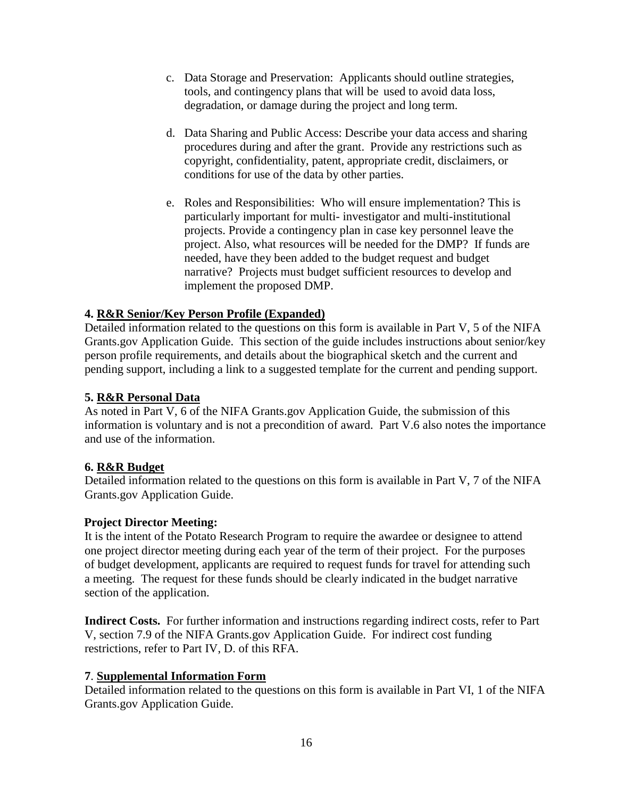- c. Data Storage and Preservation: Applicants should outline strategies, tools, and contingency plans that will be used to avoid data loss, degradation, or damage during the project and long term.
- d. Data Sharing and Public Access: Describe your data access and sharing procedures during and after the grant. Provide any restrictions such as copyright, confidentiality, patent, appropriate credit, disclaimers, or conditions for use of the data by other parties.
- e. Roles and Responsibilities: Who will ensure implementation? This is particularly important for multi- investigator and multi-institutional projects. Provide a contingency plan in case key personnel leave the project. Also, what resources will be needed for the DMP? If funds are needed, have they been added to the budget request and budget narrative? Projects must budget sufficient resources to develop and implement the proposed DMP.

#### **4. R&R Senior/Key Person Profile (Expanded)**

Detailed information related to the questions on this form is available in Part V, 5 of the NIFA Grants.gov Application Guide. This section of the guide includes instructions about senior/key person profile requirements, and details about the biographical sketch and the current and pending support, including a link to a suggested template for the current and pending support.

#### **5. R&R Personal Data**

As noted in Part V, 6 of the NIFA Grants.gov Application Guide, the submission of this information is voluntary and is not a precondition of award. Part V.6 also notes the importance and use of the information.

#### **6. R&R Budget**

Detailed information related to the questions on this form is available in Part V, 7 of the NIFA Grants.gov Application Guide.

#### **Project Director Meeting:**

It is the intent of the Potato Research Program to require the awardee or designee to attend one project director meeting during each year of the term of their project. For the purposes of budget development, applicants are required to request funds for travel for attending such a meeting. The request for these funds should be clearly indicated in the budget narrative section of the application.

**Indirect Costs.** For further information and instructions regarding indirect costs, refer to Part V, section 7.9 of the NIFA Grants.gov Application Guide. For indirect cost funding restrictions, refer to Part IV, D. of this RFA.

#### **7**. **Supplemental Information Form**

Detailed information related to the questions on this form is available in Part VI, 1 of the NIFA Grants.gov Application Guide.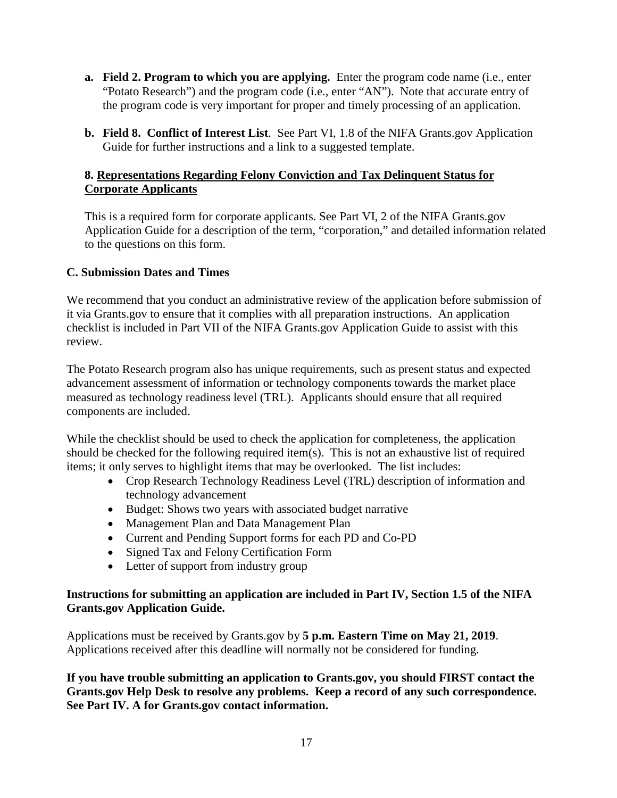- **a. Field 2. Program to which you are applying.** Enter the program code name (i.e., enter "Potato Research") and the program code (i.e., enter "AN"). Note that accurate entry of the program code is very important for proper and timely processing of an application.
- **b. Field 8. Conflict of Interest List**. See Part VI, 1.8 of the NIFA Grants.gov Application Guide for further instructions and a link to a suggested template.

## **8. Representations Regarding Felony Conviction and Tax Delinquent Status for Corporate Applicants**

This is a required form for corporate applicants. See Part VI, 2 of the NIFA Grants.gov Application Guide for a description of the term, "corporation," and detailed information related to the questions on this form.

## <span id="page-16-0"></span>**C. Submission Dates and Times**

We recommend that you conduct an administrative review of the application before submission of it via Grants.gov to ensure that it complies with all preparation instructions. An application checklist is included in Part VII of the NIFA Grants.gov Application Guide to assist with this review.

The Potato Research program also has unique requirements, such as present status and expected advancement assessment of information or technology components towards the market place measured as technology readiness level (TRL). Applicants should ensure that all required components are included.

While the checklist should be used to check the application for completeness, the application should be checked for the following required item(s). This is not an exhaustive list of required items; it only serves to highlight items that may be overlooked. The list includes:

- Crop Research Technology Readiness Level (TRL) description of information and technology advancement
- Budget: Shows two years with associated budget narrative
- Management Plan and Data Management Plan
- Current and Pending Support forms for each PD and Co-PD
- Signed Tax and Felony Certification Form
- Letter of support from industry group

## **Instructions for submitting an application are included in Part IV, Section 1.5 of the NIFA Grants.gov Application Guide.**

Applications must be received by Grants.gov by **5 p.m. Eastern Time on May 21, 2019**. Applications received after this deadline will normally not be considered for funding.

**If you have trouble submitting an application to Grants.gov, you should FIRST contact the Grants.gov Help Desk to resolve any problems. Keep a record of any such correspondence. See Part IV. A for Grants.gov contact information.**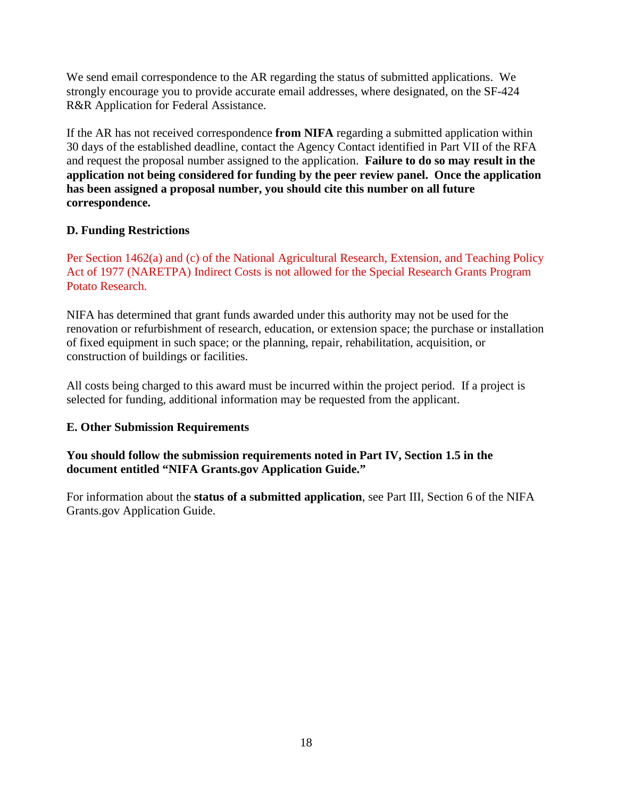We send email correspondence to the AR regarding the status of submitted applications. We strongly encourage you to provide accurate email addresses, where designated, on the SF-424 R&R Application for Federal Assistance.

If the AR has not received correspondence **from NIFA** regarding a submitted application within 30 days of the established deadline, contact the Agency Contact identified in Part VII of the RFA and request the proposal number assigned to the application. **Failure to do so may result in the application not being considered for funding by the peer review panel. Once the application has been assigned a proposal number, you should cite this number on all future correspondence.**

#### <span id="page-17-0"></span>**D. Funding Restrictions**

Per Section 1462(a) and (c) of the National Agricultural Research, Extension, and Teaching Policy Act of 1977 (NARETPA) Indirect Costs is not allowed for the Special Research Grants Program Potato Research.

NIFA has determined that grant funds awarded under this authority may not be used for the renovation or refurbishment of research, education, or extension space; the purchase or installation of fixed equipment in such space; or the planning, repair, rehabilitation, acquisition, or construction of buildings or facilities.

All costs being charged to this award must be incurred within the project period. If a project is selected for funding, additional information may be requested from the applicant.

#### <span id="page-17-1"></span>**E. Other Submission Requirements**

**You should follow the submission requirements noted in Part IV, Section 1.5 in the document entitled "NIFA Grants.gov Application Guide."** 

For information about the **status of a submitted application**, see Part III, Section 6 of the NIFA Grants.gov Application Guide.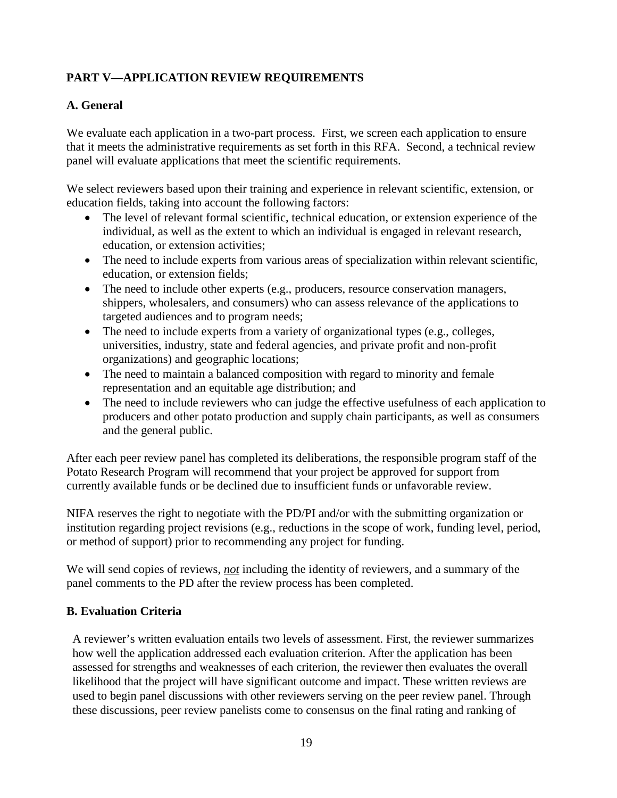## <span id="page-18-0"></span>**PART V—APPLICATION REVIEW REQUIREMENTS**

## <span id="page-18-1"></span>**A. General**

We evaluate each application in a two-part process. First, we screen each application to ensure that it meets the administrative requirements as set forth in this RFA. Second, a technical review panel will evaluate applications that meet the scientific requirements.

We select reviewers based upon their training and experience in relevant scientific, extension, or education fields, taking into account the following factors:

- The level of relevant formal scientific, technical education, or extension experience of the individual, as well as the extent to which an individual is engaged in relevant research, education, or extension activities;
- The need to include experts from various areas of specialization within relevant scientific, education, or extension fields;
- The need to include other experts (e.g., producers, resource conservation managers, shippers, wholesalers, and consumers) who can assess relevance of the applications to targeted audiences and to program needs;
- The need to include experts from a variety of organizational types (e.g., colleges, universities, industry, state and federal agencies, and private profit and non-profit organizations) and geographic locations;
- The need to maintain a balanced composition with regard to minority and female representation and an equitable age distribution; and
- The need to include reviewers who can judge the effective usefulness of each application to producers and other potato production and supply chain participants, as well as consumers and the general public.

After each peer review panel has completed its deliberations, the responsible program staff of the Potato Research Program will recommend that your project be approved for support from currently available funds or be declined due to insufficient funds or unfavorable review.

NIFA reserves the right to negotiate with the PD/PI and/or with the submitting organization or institution regarding project revisions (e.g., reductions in the scope of work, funding level, period, or method of support) prior to recommending any project for funding.

We will send copies of reviews, *not* including the identity of reviewers, and a summary of the panel comments to the PD after the review process has been completed.

## <span id="page-18-2"></span>**B. Evaluation Criteria**

A reviewer's written evaluation entails two levels of assessment. First, the reviewer summarizes how well the application addressed each evaluation criterion. After the application has been assessed for strengths and weaknesses of each criterion, the reviewer then evaluates the overall likelihood that the project will have significant outcome and impact. These written reviews are used to begin panel discussions with other reviewers serving on the peer review panel. Through these discussions, peer review panelists come to consensus on the final rating and ranking of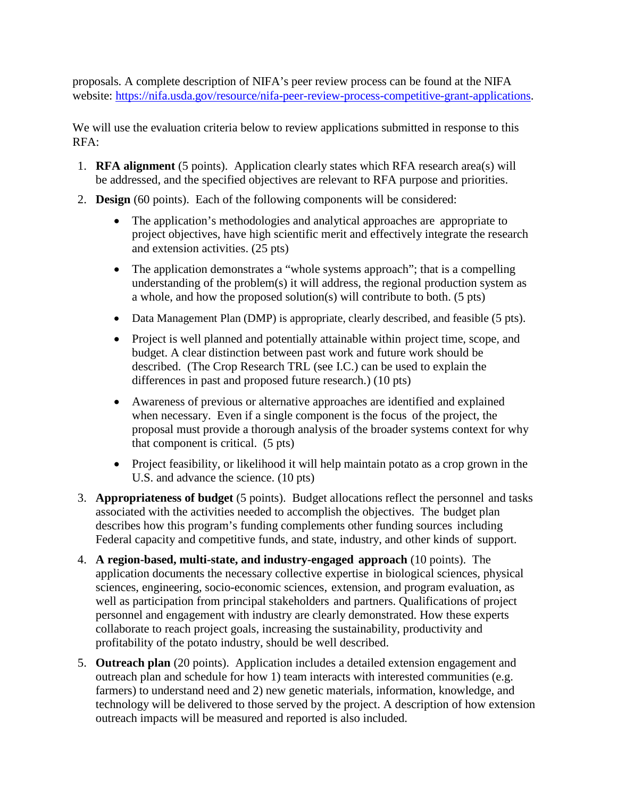proposals. A complete description of NIFA's peer review process can be found at the NIFA website: [https://nifa.usda.gov/resource/nifa-peer-review-process-competitive-grant-applications.](https://nifa.usda.gov/resource/nifa-peer-review-process-competitive-grant-applications)

We will use the evaluation criteria below to review applications submitted in response to this RFA:

- 1. **RFA alignment** (5 points). Application clearly states which RFA research area(s) will be addressed, and the specified objectives are relevant to RFA purpose and priorities.
- 2. **Design** (60 points). Each of the following components will be considered:
	- The application's methodologies and analytical approaches are appropriate to project objectives, have high scientific merit and effectively integrate the research and extension activities. (25 pts)
	- The application demonstrates a "whole systems approach"; that is a compelling understanding of the problem(s) it will address, the regional production system as a whole, and how the proposed solution(s) will contribute to both. (5 pts)
	- Data Management Plan (DMP) is appropriate, clearly described, and feasible (5 pts).
	- Project is well planned and potentially attainable within project time, scope, and budget. A clear distinction between past work and future work should be described. (The Crop Research TRL (see I.C.) can be used to explain the differences in past and proposed future research.) (10 pts)
	- Awareness of previous or alternative approaches are identified and explained when necessary. Even if a single component is the focus of the project, the proposal must provide a thorough analysis of the broader systems context for why that component is critical. (5 pts)
	- Project feasibility, or likelihood it will help maintain potato as a crop grown in the U.S. and advance the science. (10 pts)
- 3. **Appropriateness of budget** (5 points). Budget allocations reflect the personnel and tasks associated with the activities needed to accomplish the objectives. The budget plan describes how this program's funding complements other funding sources including Federal capacity and competitive funds, and state, industry, and other kinds of support.
- 4. **A region-based, multi-state, and industry-engaged approach** (10 points). The application documents the necessary collective expertise in biological sciences, physical sciences, engineering, socio-economic sciences, extension, and program evaluation, as well as participation from principal stakeholders and partners. Qualifications of project personnel and engagement with industry are clearly demonstrated. How these experts collaborate to reach project goals, increasing the sustainability, productivity and profitability of the potato industry, should be well described.
- 5. **Outreach plan** (20 points). Application includes a detailed extension engagement and outreach plan and schedule for how 1) team interacts with interested communities (e.g. farmers) to understand need and 2) new genetic materials, information, knowledge, and technology will be delivered to those served by the project. A description of how extension outreach impacts will be measured and reported is also included.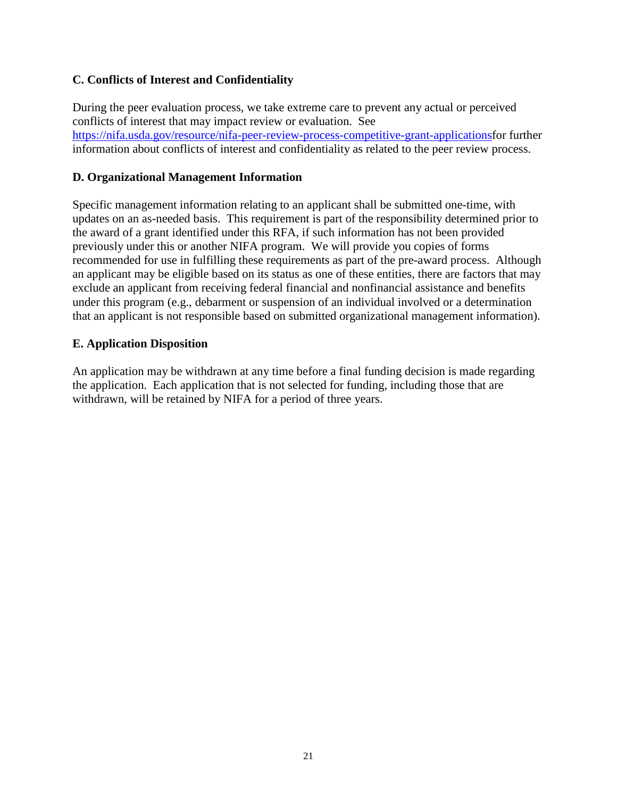## <span id="page-20-0"></span>**C. Conflicts of Interest and Confidentiality**

During the peer evaluation process, we take extreme care to prevent any actual or perceived conflicts of interest that may impact review or evaluation. See [https://nifa.usda.gov/resource/nifa-peer-review-process-competitive-grant-applicationsf](https://nifa.usda.gov/resource/nifa-peer-review-process-competitive-grant-applications)or further information about conflicts of interest and confidentiality as related to the peer review process.

## <span id="page-20-1"></span>**D. Organizational Management Information**

Specific management information relating to an applicant shall be submitted one-time, with updates on an as-needed basis. This requirement is part of the responsibility determined prior to the award of a grant identified under this RFA, if such information has not been provided previously under this or another NIFA program. We will provide you copies of forms recommended for use in fulfilling these requirements as part of the pre-award process. Although an applicant may be eligible based on its status as one of these entities, there are factors that may exclude an applicant from receiving federal financial and nonfinancial assistance and benefits under this program (e.g., debarment or suspension of an individual involved or a determination that an applicant is not responsible based on submitted organizational management information).

#### <span id="page-20-2"></span>**E. Application Disposition**

An application may be withdrawn at any time before a final funding decision is made regarding the application. Each application that is not selected for funding, including those that are withdrawn, will be retained by NIFA for a period of three years.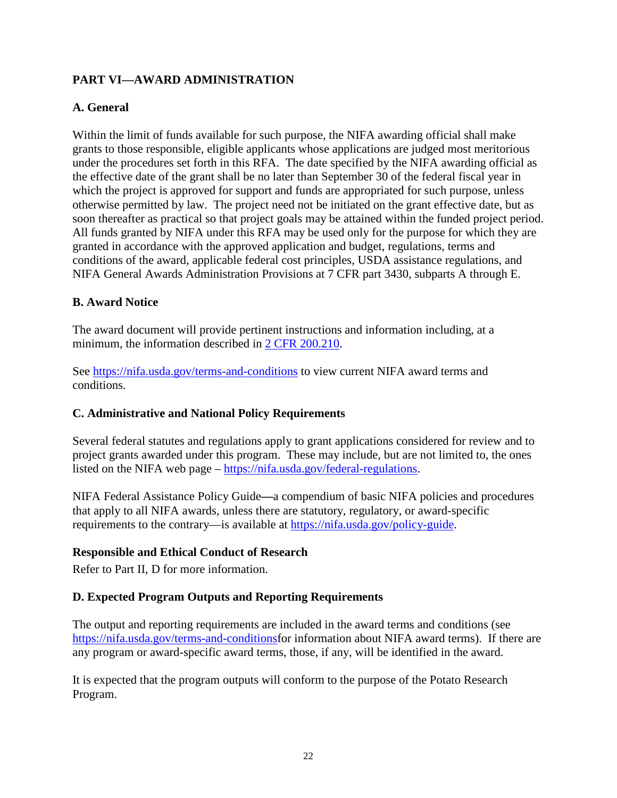## <span id="page-21-0"></span>**PART VI—AWARD ADMINISTRATION**

## <span id="page-21-1"></span>**A. General**

Within the limit of funds available for such purpose, the NIFA awarding official shall make grants to those responsible, eligible applicants whose applications are judged most meritorious under the procedures set forth in this RFA. The date specified by the NIFA awarding official as the effective date of the grant shall be no later than September 30 of the federal fiscal year in which the project is approved for support and funds are appropriated for such purpose, unless otherwise permitted by law. The project need not be initiated on the grant effective date, but as soon thereafter as practical so that project goals may be attained within the funded project period. All funds granted by NIFA under this RFA may be used only for the purpose for which they are granted in accordance with the approved application and budget, regulations, terms and conditions of the award, applicable federal cost principles, USDA assistance regulations, and NIFA General Awards Administration Provisions at 7 CFR part 3430, subparts A through E.

## <span id="page-21-2"></span>**B. Award Notice**

The award document will provide pertinent instructions and information including, at a minimum, the information described in [2 CFR 200.210.](https://www.ecfr.gov/cgi-bin/text-idx?SID=70b44cfc44976f4a7742464f7cfbb37e&mc=true&node=se2.1.200_1210&rgn=div8)

See<https://nifa.usda.gov/terms-and-conditions>to view current NIFA award terms and conditions.

## <span id="page-21-3"></span>**C. Administrative and National Policy Requirements**

Several federal statutes and regulations apply to grant applications considered for review and to project grants awarded under this program. These may include, but are not limited to, the ones listed on the NIFA web page – [https://nifa.usda.gov/federal-regulations.](https://nifa.usda.gov/federal-regulations)

NIFA Federal Assistance Policy Guide**—**a compendium of basic NIFA policies and procedures that apply to all NIFA awards, unless there are statutory, regulatory, or award-specific requirements to the contrary—is available at [https://nifa.usda.gov/policy-guide.](https://nifa.usda.gov/policy-guide)

## **Responsible and Ethical Conduct of Research**

Refer to Part II, D for more information.

## <span id="page-21-4"></span>**D. Expected Program Outputs and Reporting Requirements**

The output and reporting requirements are included in the award terms and conditions (see [https://nifa.usda.gov/terms-and-conditionsf](https://nifa.usda.gov/terms-and-conditions)or information about NIFA award terms). If there are any program or award-specific award terms, those, if any, will be identified in the award.

It is expected that the program outputs will conform to the purpose of the Potato Research Program.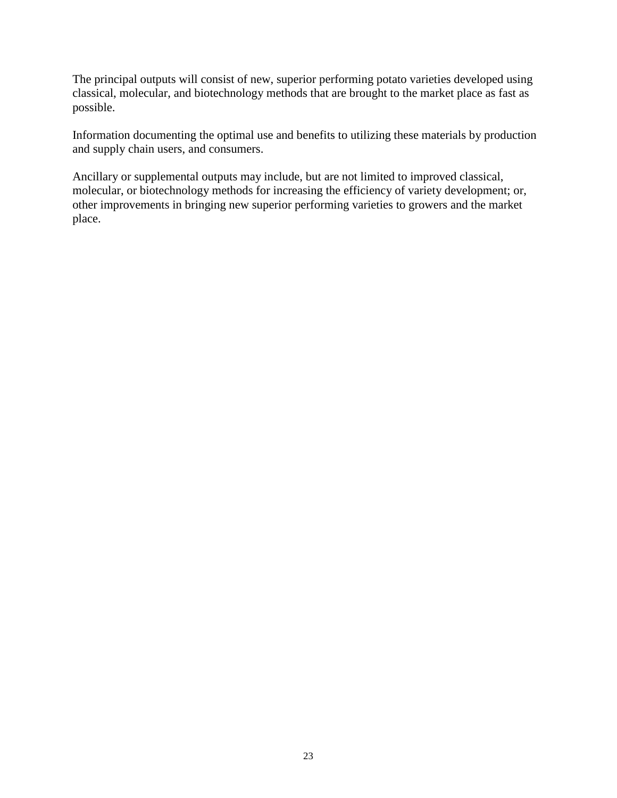The principal outputs will consist of new, superior performing potato varieties developed using classical, molecular, and biotechnology methods that are brought to the market place as fast as possible.

Information documenting the optimal use and benefits to utilizing these materials by production and supply chain users, and consumers.

Ancillary or supplemental outputs may include, but are not limited to improved classical, molecular, or biotechnology methods for increasing the efficiency of variety development; or, other improvements in bringing new superior performing varieties to growers and the market place.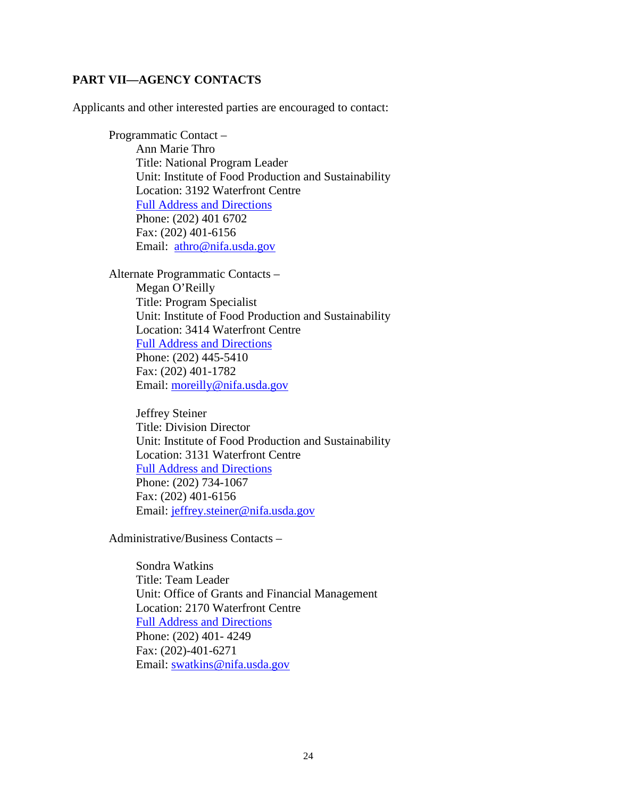## <span id="page-23-0"></span>**PART VII—AGENCY CONTACTS**

Applicants and other interested parties are encouraged to contact:

Programmatic Contact – Ann Marie Thro Title: National Program Leader Unit: Institute of Food Production and Sustainability Location: 3192 Waterfront Centre [Full Address and Directions](https://nifa.usda.gov/visit-nifa) Phone: (202) 401 6702 Fax: (202) 401-6156 Email: [athro@nifa.usda.gov](mailto:athro@nifa.usda.gov) 

Alternate Programmatic Contacts – Megan O'Reilly Title: Program Specialist Unit: Institute of Food Production and Sustainability Location: 3414 Waterfront Centre [Full Address and Directions](https://nifa.usda.gov/visit-nifa) Phone: (202) 445-5410 Fax: (202) 401-1782 Email: [moreilly@nifa.usda.gov](mailto:moreilly@nifa.usda.gov)

Jeffrey Steiner Title: Division Director Unit: Institute of Food Production and Sustainability Location: 3131 Waterfront Centre [Full Address and Directions](https://nifa.usda.gov/visit-nifa) Phone: (202) 734-1067 Fax: (202) 401-6156 Email: [jeffrey.steiner@nifa.usda.gov](mailto:jeffrey.steiner@nifa.usda.gov)

Administrative/Business Contacts –

Sondra Watkins Title: Team Leader Unit: Office of Grants and Financial Management Location: 2170 Waterfront Centre [Full Address and Directions](http://nifa.usda.gov/about/visit.html) Phone: (202) 401- 4249 Fax: (202)-401-6271 Email: [swatkins@nifa.usda.gov](mailto:swatkins@nifa.usda.gov)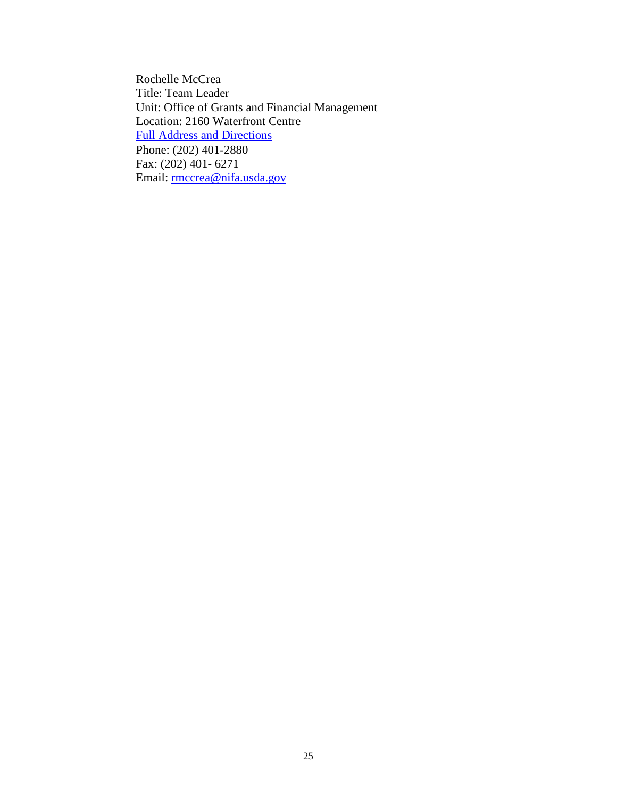Rochelle McCrea Title: Team Leader Unit: Office of Grants and Financial Management Location: 2160 Waterfront Centre [Full Address and Directions](http://nifa.usda.gov/about/visit.html) Phone: (202) 401-2880 Fax: (202) 401- 6271 Email: rmccrea@nifa.usda.gov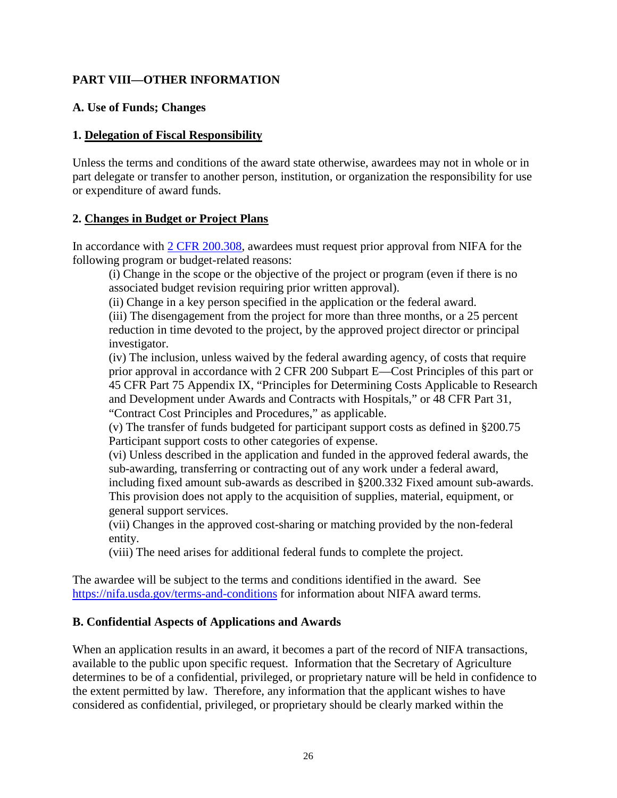## <span id="page-25-0"></span>**PART VIII—OTHER INFORMATION**

#### <span id="page-25-1"></span>**A. Use of Funds; Changes**

#### **1. Delegation of Fiscal Responsibility**

Unless the terms and conditions of the award state otherwise, awardees may not in whole or in part delegate or transfer to another person, institution, or organization the responsibility for use or expenditure of award funds.

#### **2. Changes in Budget or Project Plans**

In accordance with [2 CFR 200.308,](https://www.ecfr.gov/cgi-bin/text-idx?SID=3af89506559b05297e7d0334cb283e24&mc=true&node=se2.1.200_1308&rgn=div8) awardees must request prior approval from NIFA for the following program or budget-related reasons:

(i) Change in the scope or the objective of the project or program (even if there is no associated budget revision requiring prior written approval).

(ii) Change in a key person specified in the application or the federal award.

(iii) The disengagement from the project for more than three months, or a 25 percent reduction in time devoted to the project, by the approved project director or principal investigator.

(iv) The inclusion, unless waived by the federal awarding agency, of costs that require prior approval in accordance with 2 CFR 200 Subpart E—Cost Principles of this part or 45 CFR Part 75 Appendix IX, "Principles for Determining Costs Applicable to Research and Development under Awards and Contracts with Hospitals," or 48 CFR Part 31, "Contract Cost Principles and Procedures," as applicable.

(v) The transfer of funds budgeted for participant support costs as defined in §200.75 Participant support costs to other categories of expense.

(vi) Unless described in the application and funded in the approved federal awards, the sub-awarding, transferring or contracting out of any work under a federal award, including fixed amount sub-awards as described in §200.332 Fixed amount sub-awards. This provision does not apply to the acquisition of supplies, material, equipment, or general support services.

(vii) Changes in the approved cost-sharing or matching provided by the non-federal entity.

(viii) The need arises for additional federal funds to complete the project.

The awardee will be subject to the terms and conditions identified in the award. See <https://nifa.usda.gov/terms-and-conditions> for information about NIFA award terms.

#### <span id="page-25-2"></span>**B. Confidential Aspects of Applications and Awards**

When an application results in an award, it becomes a part of the record of NIFA transactions, available to the public upon specific request. Information that the Secretary of Agriculture determines to be of a confidential, privileged, or proprietary nature will be held in confidence to the extent permitted by law. Therefore, any information that the applicant wishes to have considered as confidential, privileged, or proprietary should be clearly marked within the